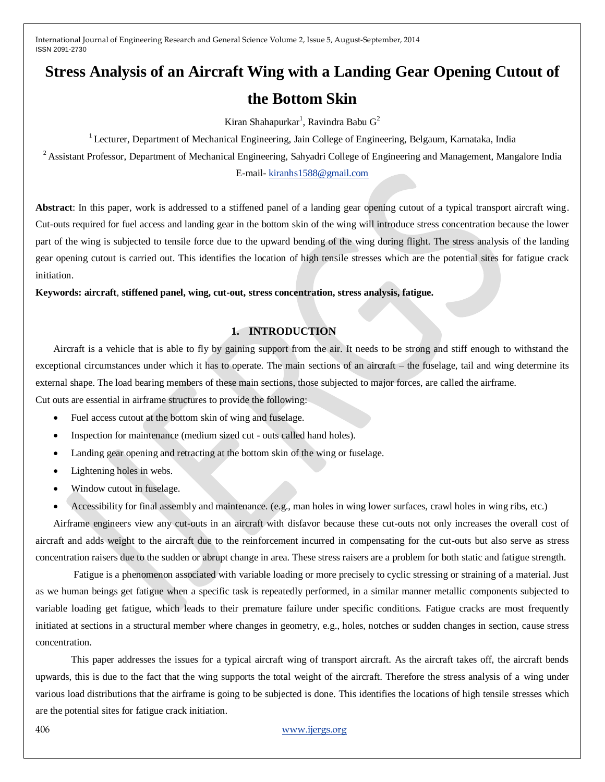# **Stress Analysis of an Aircraft Wing with a Landing Gear Opening Cutout of the Bottom Skin**

Kiran Shahapurkar<sup>1</sup>, Ravindra Babu  $G^2$ 

<sup>1</sup> Lecturer, Department of Mechanical Engineering, Jain College of Engineering, Belgaum, Karnataka, India

<sup>2</sup> Assistant Professor, Department of Mechanical Engineering, Sahyadri College of Engineering and Management, Mangalore India E-mail- [kiranhs1588@gmail.com](mailto:kiranhs1588@gmail.com)

**Abstract**: In this paper, work is addressed to a stiffened panel of a landing gear opening cutout of a typical transport aircraft wing. Cut-outs required for fuel access and landing gear in the bottom skin of the wing will introduce stress concentration because the lower part of the wing is subjected to tensile force due to the upward bending of the wing during flight. The stress analysis of the landing gear opening cutout is carried out. This identifies the location of high tensile stresses which are the potential sites for fatigue crack initiation.

**Keywords: aircraft**, **stiffened panel, wing, cut-out, stress concentration, stress analysis, fatigue.**

# **1. INTRODUCTION**

Aircraft is a vehicle that is able to fly by gaining support from the air. It needs to be strong and stiff enough to withstand the exceptional circumstances under which it has to operate. The main sections of an aircraft – the fuselage, tail and wing determine its external shape. The load bearing members of these main sections, those subjected to major forces, are called the airframe. Cut outs are essential in airframe structures to provide the following:

- Fuel access cutout at the bottom skin of wing and fuselage.
- Inspection for maintenance (medium sized cut outs called hand holes).
- Landing gear opening and retracting at the bottom skin of the wing or fuselage.
- Lightening holes in webs.
- Window cutout in fuselage.
- Accessibility for final assembly and maintenance. (e.g., man holes in wing lower surfaces, crawl holes in wing ribs, etc.)

Airframe engineers view any cut-outs in an aircraft with disfavor because these cut-outs not only increases the overall cost of aircraft and adds weight to the aircraft due to the reinforcement incurred in compensating for the cut-outs but also serve as stress concentration raisers due to the sudden or abrupt change in area. These stress raisers are a problem for both static and fatigue strength.

Fatigue is a phenomenon associated with variable loading or more precisely to cyclic stressing or straining of a material. Just as we human beings get fatigue when a specific task is repeatedly performed, in a similar manner metallic components subjected to variable loading get fatigue, which leads to their premature failure under specific conditions. Fatigue cracks are most frequently initiated at sections in a structural member where changes in geometry, e.g., holes, notches or sudden changes in section, cause stress concentration.

This paper addresses the issues for a typical aircraft wing of transport aircraft. As the aircraft takes off, the aircraft bends upwards, this is due to the fact that the wing supports the total weight of the aircraft. Therefore the stress analysis of a wing under various load distributions that the airframe is going to be subjected is done. This identifies the locations of high tensile stresses which are the potential sites for fatigue crack initiation.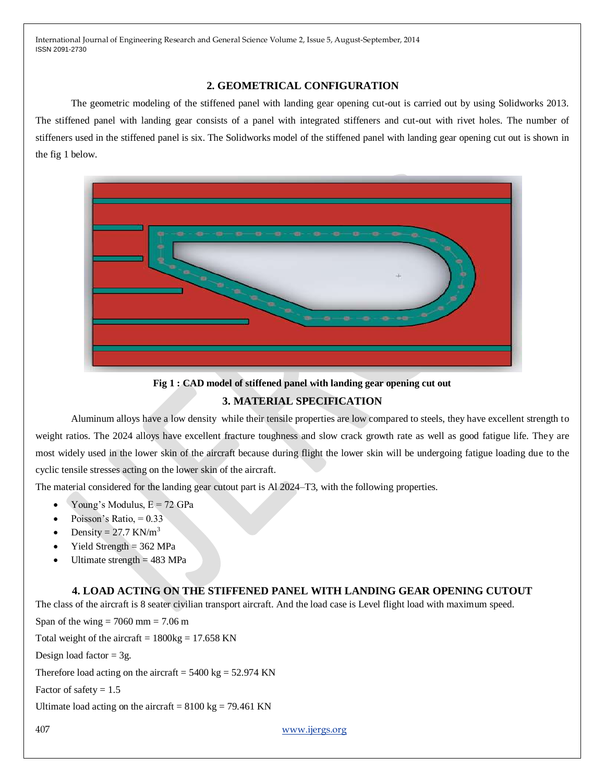# **2. GEOMETRICAL CONFIGURATION**

The geometric modeling of the stiffened panel with landing gear opening cut-out is carried out by using Solidworks 2013. The stiffened panel with landing gear consists of a panel with integrated stiffeners and cut-out with rivet holes. The number of stiffeners used in the stiffened panel is six. The Solidworks model of the stiffened panel with landing gear opening cut out is shown in the fig 1 below.



**Fig 1 : CAD model of stiffened panel with landing gear opening cut out**

# **3. MATERIAL SPECIFICATION**

Aluminum alloys have a low density while their tensile properties are low compared to steels, they have excellent strength to weight ratios. The 2024 alloys have excellent fracture toughness and slow crack growth rate as well as good fatigue life. They are most widely used in the lower skin of the aircraft because during flight the lower skin will be undergoing fatigue loading due to the cyclic tensile stresses acting on the lower skin of the aircraft.

The material considered for the landing gear cutout part is Al 2024–T3, with the following properties.

- Young's Modulus,  $E = 72$  GPa
- Poisson's Ratio,  $= 0.33$
- Density =  $27.7$  KN/m<sup>3</sup>
- Yield Strength = 362 MPa
- Ultimate strength  $= 483$  MPa

# **4. LOAD ACTING ON THE STIFFENED PANEL WITH LANDING GEAR OPENING CUTOUT**

The class of the aircraft is 8 seater civilian transport aircraft. And the load case is Level flight load with maximum speed.

Span of the wing  $= 7060$  mm  $= 7.06$  m Total weight of the aircraft =  $1800kg = 17.658$  KN Design load factor  $= 3g$ . Therefore load acting on the aircraft =  $5400 \text{ kg} = 52.974 \text{ KN}$ 

Factor of safety  $= 1.5$ 

Ultimate load acting on the aircraft =  $8100 \text{ kg} = 79.461 \text{ KN}$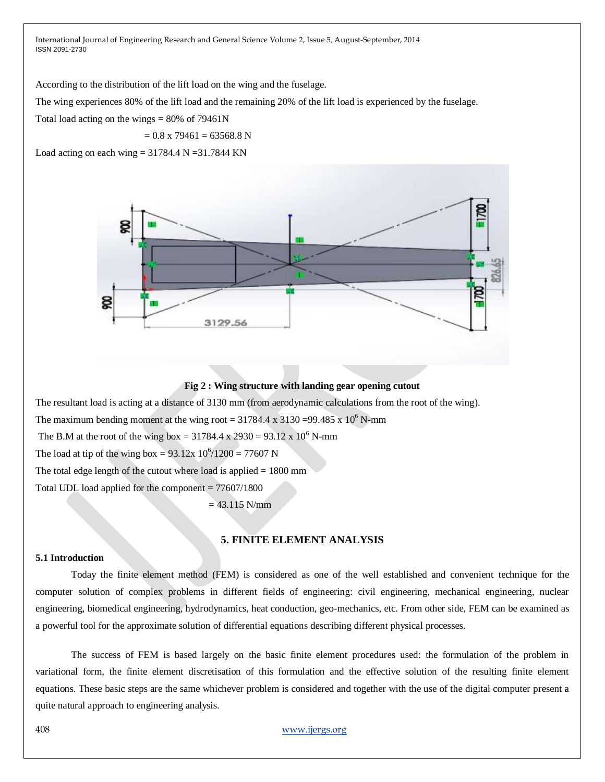According to the distribution of the lift load on the wing and the fuselage.

The wing experiences 80% of the lift load and the remaining 20% of the lift load is experienced by the fuselage.

Total load acting on the wings  $= 80\%$  of 79461N

$$
= 0.8 \times 79461 = 63568.8 \text{ N}
$$

Load acting on each wing  $= 31784.4$  N  $= 31.7844$  KN



#### **Fig 2 : Wing structure with landing gear opening cutout**

The resultant load is acting at a distance of 3130 mm (from aerodynamic calculations from the root of the wing).

The maximum bending moment at the wing root =  $31784.4 \times 3130 = 99.485 \times 10^6$  N-mm

The B.M at the root of the wing box =  $31784.4 \times 2930 = 93.12 \times 10^6$  N-mm

The load at tip of the wing box =  $93.12x\ 10^6/1200 = 77607$  N

The total edge length of the cutout where load is applied  $= 1800$  mm

Total UDL load applied for the component  $= 77607/1800$ 

 $= 43.115$  N/mm

#### **5. FINITE ELEMENT ANALYSIS**

#### **5.1 Introduction**

Today the finite element method (FEM) is considered as one of the well established and convenient technique for the computer solution of complex problems in different fields of engineering: civil engineering, mechanical engineering, nuclear engineering, biomedical engineering, hydrodynamics, heat conduction, geo-mechanics, etc. From other side, FEM can be examined as a powerful tool for the approximate solution of differential equations describing different physical processes.

The success of FEM is based largely on the basic finite element procedures used: the formulation of the problem in variational form, the finite element discretisation of this formulation and the effective solution of the resulting finite element equations. These basic steps are the same whichever problem is considered and together with the use of the digital computer present a quite natural approach to engineering analysis.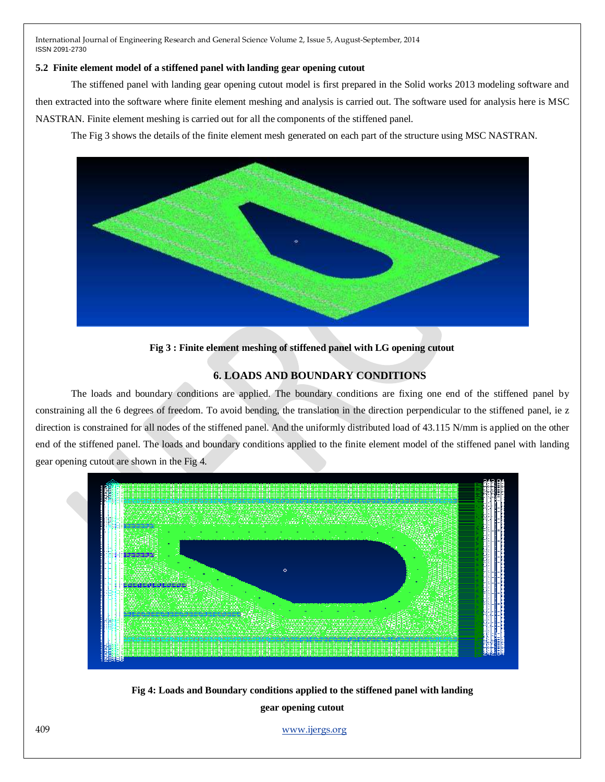# **5.2 Finite element model of a stiffened panel with landing gear opening cutout**

The stiffened panel with landing gear opening cutout model is first prepared in the Solid works 2013 modeling software and then extracted into the software where finite element meshing and analysis is carried out. The software used for analysis here is MSC NASTRAN. Finite element meshing is carried out for all the components of the stiffened panel.

The Fig 3 shows the details of the finite element mesh generated on each part of the structure using MSC NASTRAN.



**Fig 3 : Finite element meshing of stiffened panel with LG opening cutout**

# **6. LOADS AND BOUNDARY CONDITIONS**

The loads and boundary conditions are applied. The boundary conditions are fixing one end of the stiffened panel by constraining all the 6 degrees of freedom. To avoid bending, the translation in the direction perpendicular to the stiffened panel, ie z direction is constrained for all nodes of the stiffened panel. And the uniformly distributed load of 43.115 N/mm is applied on the other end of the stiffened panel. The loads and boundary conditions applied to the finite element model of the stiffened panel with landing gear opening cutout are shown in the Fig 4.



**Fig 4: Loads and Boundary conditions applied to the stiffened panel with landing gear opening cutout**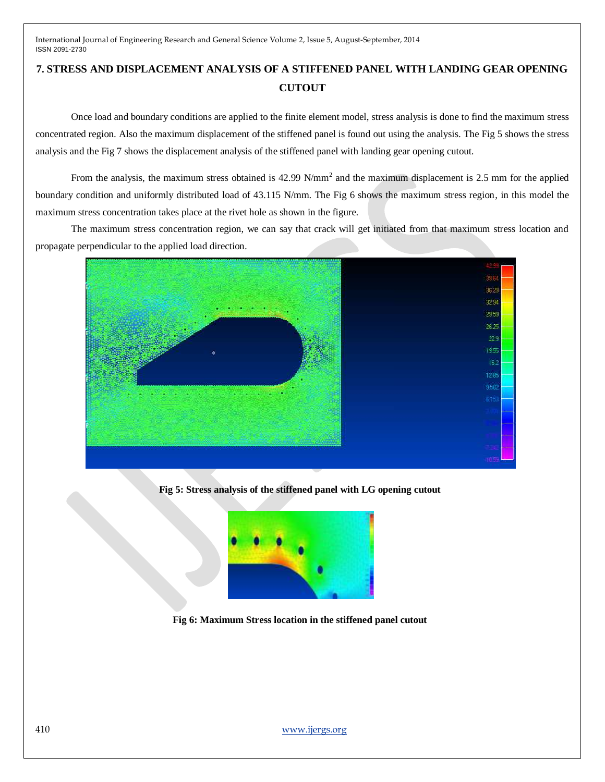# **7. STRESS AND DISPLACEMENT ANALYSIS OF A STIFFENED PANEL WITH LANDING GEAR OPENING CUTOUT**

Once load and boundary conditions are applied to the finite element model, stress analysis is done to find the maximum stress concentrated region. Also the maximum displacement of the stiffened panel is found out using the analysis. The Fig 5 shows the stress analysis and the Fig 7 shows the displacement analysis of the stiffened panel with landing gear opening cutout.

From the analysis, the maximum stress obtained is 42.99 N/mm<sup>2</sup> and the maximum displacement is 2.5 mm for the applied boundary condition and uniformly distributed load of 43.115 N/mm. The Fig 6 shows the maximum stress region, in this model the maximum stress concentration takes place at the rivet hole as shown in the figure.

The maximum stress concentration region, we can say that crack will get initiated from that maximum stress location and propagate perpendicular to the applied load direction.



**Fig 5: Stress analysis of the stiffened panel with LG opening cutout**



**Fig 6: Maximum Stress location in the stiffened panel cutout**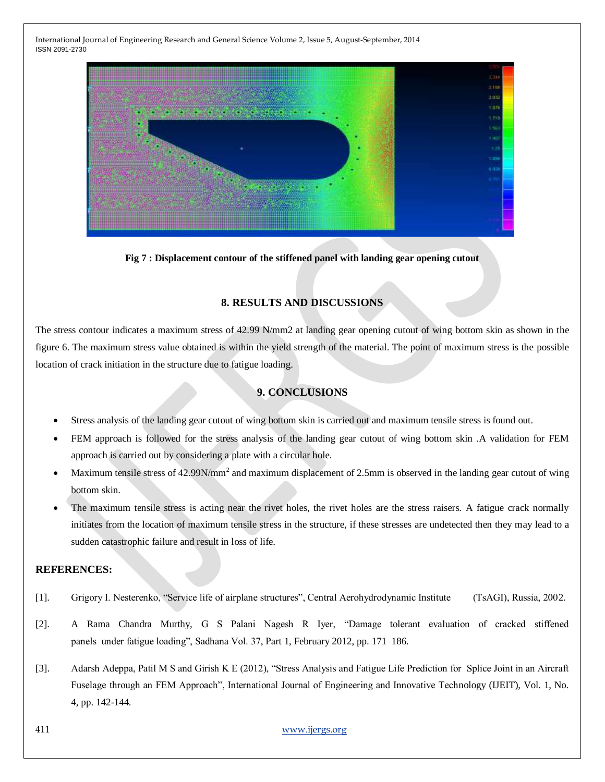

**Fig 7 : Displacement contour of the stiffened panel with landing gear opening cutout**

# **8. RESULTS AND DISCUSSIONS**

The stress contour indicates a maximum stress of 42.99 N/mm2 at landing gear opening cutout of wing bottom skin as shown in the figure 6. The maximum stress value obtained is within the yield strength of the material. The point of maximum stress is the possible location of crack initiation in the structure due to fatigue loading.

#### **9. CONCLUSIONS**

- Stress analysis of the landing gear cutout of wing bottom skin is carried out and maximum tensile stress is found out.
- FEM approach is followed for the stress analysis of the landing gear cutout of wing bottom skin .A validation for FEM approach is carried out by considering a plate with a circular hole.
- Maximum tensile stress of  $42.99N/mm^2$  and maximum displacement of 2.5mm is observed in the landing gear cutout of wing bottom skin.
- The maximum tensile stress is acting near the rivet holes, the rivet holes are the stress raisers. A fatigue crack normally initiates from the location of maximum tensile stress in the structure, if these stresses are undetected then they may lead to a sudden catastrophic failure and result in loss of life.

# **REFERENCES:**

- [1]. Grigory I. Nesterenko, "Service life of airplane structures", Central Aerohydrodynamic Institute (TsAGI), Russia, 2002.
- [2]. A Rama Chandra Murthy, G S Palani Nagesh R Iyer, "Damage tolerant evaluation of cracked stiffened panels under fatigue loading", Sadhana Vol. 37, Part 1, February 2012, pp. 171–186.
- [3]. Adarsh Adeppa, Patil M S and Girish K E (2012), "Stress Analysis and Fatigue Life Prediction for Splice Joint in an Aircraft Fuselage through an FEM Approach", International Journal of Engineering and Innovative Technology (IJEIT), Vol. 1, No. 4, pp. 142-144.